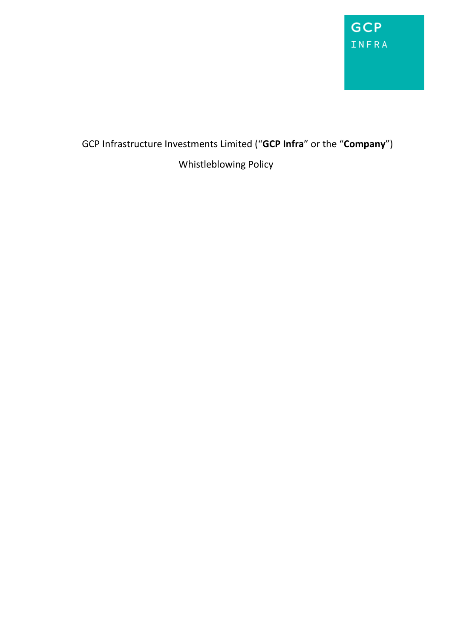

## GCP Infrastructure Investments Limited ("**GCP Infra**" or the "**Company**")

## Whistleblowing Policy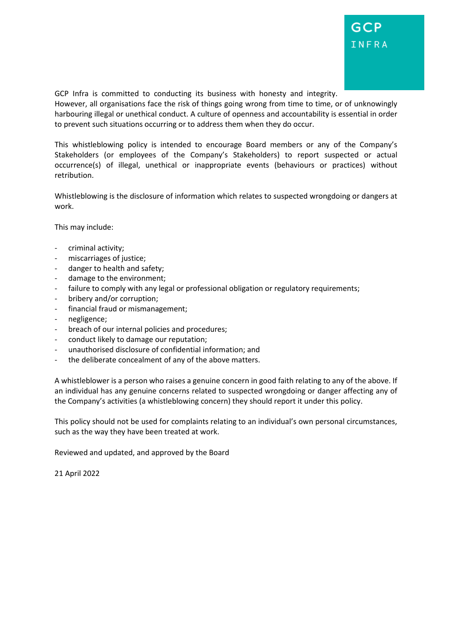GCP Infra [is committed to conducting its business with honesty and integrity.](https://www.linkassetservices.com/news/link-asset-services-selects-altareturn-private-equity-offering) 

[However, all organisations face the risk of things going wrong from time to time, or of unknowingly](https://www.linkassetservices.com/news/link-asset-services-selects-altareturn-private-equity-offering)  [harbouring illegal or unethical conduct. A culture of openness and accountability is essential in order](https://www.linkassetservices.com/news/link-asset-services-selects-altareturn-private-equity-offering)  [to prevent such situations occurring or to address them when they do occur.](https://www.linkassetservices.com/news/link-asset-services-selects-altareturn-private-equity-offering) 

This whistleblowing policy is intended to encourage Board members or any of the Company's Stakeholders (or employees of the Company's Stakeholders) to report suspected or actual occurrence(s) of illegal, unethical or inappropriate events (behaviours or practices) without retribution.

[Whistleblowing is the disclosure of information which relates to suspected wrongdoing or dangers at](https://www.linkassetservices.com/news/link-asset-services-selects-altareturn-private-equity-offering)  [work.](https://www.linkassetservices.com/news/link-asset-services-selects-altareturn-private-equity-offering) 

[This may include:](https://www.linkassetservices.com/news/link-asset-services-selects-altareturn-private-equity-offering) 

- [criminal activity;](https://www.linkassetservices.com/news/link-asset-services-selects-altareturn-private-equity-offering)
- [miscarriages of](https://www.linkassetservices.com/news/link-asset-services-selects-altareturn-private-equity-offering) justice;
- [danger to health and safety;](https://www.linkassetservices.com/news/link-asset-services-selects-altareturn-private-equity-offering)
- damage to the environment;
- failure to comply with any legal or professional obligation or regulatory requirements;
- bribery [and/or corruption;](https://www.linkassetservices.com/news/link-asset-services-selects-altareturn-private-equity-offering)
- [financial fraud or mismanagement;](https://www.linkassetservices.com/news/link-asset-services-selects-altareturn-private-equity-offering)
- [negligence;](https://www.linkassetservices.com/news/link-asset-services-selects-altareturn-private-equity-offering)
- [breach of our internal policies and procedures;](https://www.linkassetservices.com/news/link-asset-services-selects-altareturn-private-equity-offering)
- conduct likely to damage our reputation;
- unauthorised disclosure of confidential information; and
- [the deliberate concealment of any of the above matters.](https://www.linkassetservices.com/news/link-asset-services-selects-altareturn-private-equity-offering)

[A whistleblower is a person who raises a genuine concern in good faith relating to any of the above. If](https://www.linkassetservices.com/news/link-asset-services-selects-altareturn-private-equity-offering)  [an individual has any genuine concerns related to suspected wrongdoing or danger affecting any of](https://www.linkassetservices.com/news/link-asset-services-selects-altareturn-private-equity-offering)  [the Company's activities \(a whistleblowing concern\) they](https://www.linkassetservices.com/news/link-asset-services-selects-altareturn-private-equity-offering) should report it under this policy.

[This policy should not be used for complaints relating to an individual's own personal circumstances,](https://www.linkassetservices.com/news/link-asset-services-selects-altareturn-private-equity-offering)  such as the way they have [been treated at work.](https://www.linkassetservices.com/news/link-asset-services-selects-altareturn-private-equity-offering) 

Reviewed and updated, and approved by the Board

21 April 2022